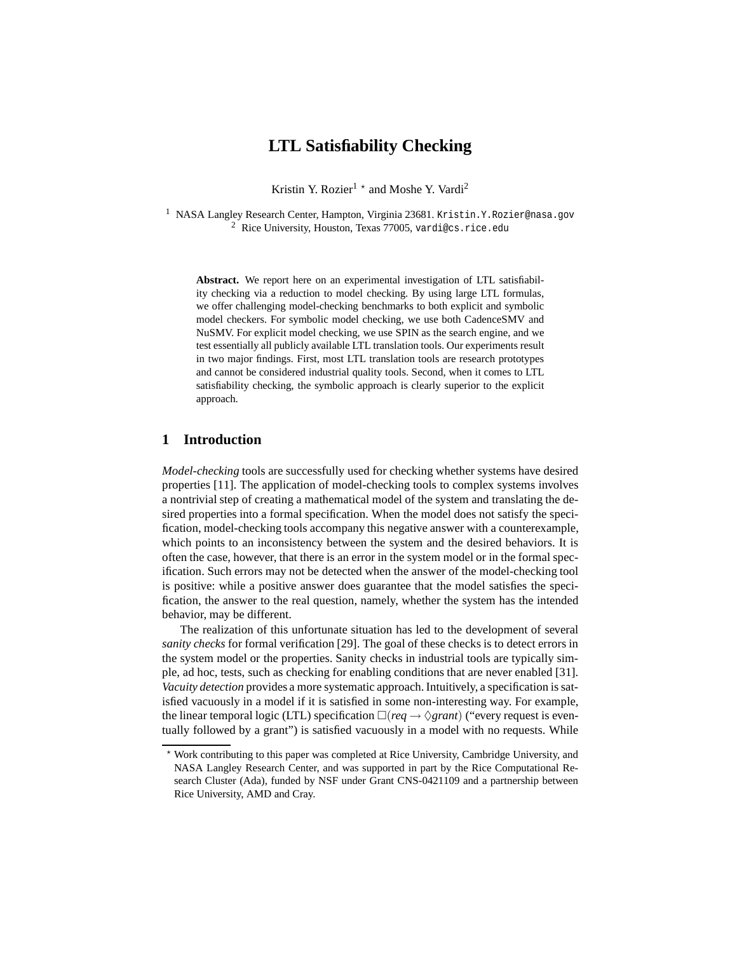# **LTL Satisfiability Checking**

Kristin Y. Rozier<sup>1</sup>  $\star$  and Moshe Y. Vardi<sup>2</sup>

<sup>1</sup> NASA Langley Research Center, Hampton, Virginia 23681. Kristin.Y.Rozier@nasa.gov <sup>2</sup> Rice University, Houston, Texas 77005, vardi@cs.rice.edu

**Abstract.** We report here on an experimental investigation of LTL satisfiability checking via a reduction to model checking. By using large LTL formulas, we offer challenging model-checking benchmarks to both explicit and symbolic model checkers. For symbolic model checking, we use both CadenceSMV and NuSMV. For explicit model checking, we use SPIN as the search engine, and we test essentially all publicly available LTL translation tools. Our experiments result in two major findings. First, most LTL translation tools are research prototypes and cannot be considered industrial quality tools. Second, when it comes to LTL satisfiability checking, the symbolic approach is clearly superior to the explicit approach.

## **1 Introduction**

*Model-checking* tools are successfully used for checking whether systems have desired properties [11]. The application of model-checking tools to complex systems involves a nontrivial step of creating a mathematical model of the system and translating the desired properties into a formal specification. When the model does not satisfy the specification, model-checking tools accompany this negative answer with a counterexample, which points to an inconsistency between the system and the desired behaviors. It is often the case, however, that there is an error in the system model or in the formal specification. Such errors may not be detected when the answer of the model-checking tool is positive: while a positive answer does guarantee that the model satisfies the specification, the answer to the real question, namely, whether the system has the intended behavior, may be different.

The realization of this unfortunate situation has led to the development of several *sanity checks* for formal verification [29]. The goal of these checks is to detect errors in the system model or the properties. Sanity checks in industrial tools are typically simple, ad hoc, tests, such as checking for enabling conditions that are never enabled [31]. *Vacuity detection* provides a more systematic approach. Intuitively, a specification is satisfied vacuously in a model if it is satisfied in some non-interesting way. For example, the linear temporal logic (LTL) specification  $\Box (req \rightarrow \Diamond grant)$  ("every request is eventually followed by a grant") is satisfied vacuously in a model with no requests. While

<sup>⋆</sup> Work contributing to this paper was completed at Rice University, Cambridge University, and NASA Langley Research Center, and was supported in part by the Rice Computational Research Cluster (Ada), funded by NSF under Grant CNS-0421109 and a partnership between Rice University, AMD and Cray.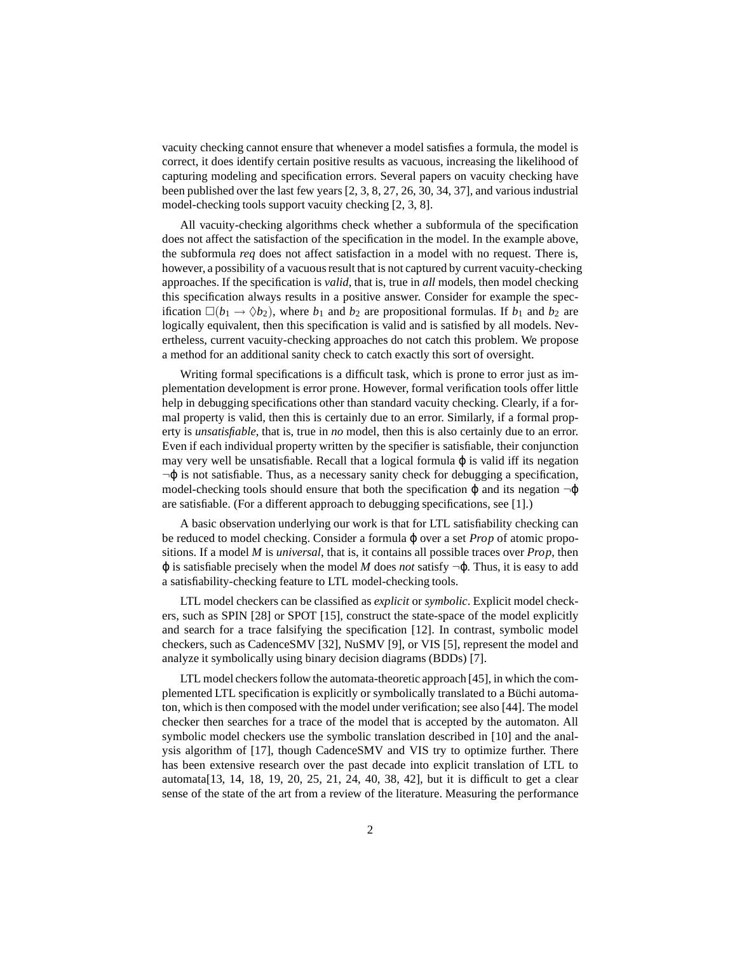vacuity checking cannot ensure that whenever a model satisfies a formula, the model is correct, it does identify certain positive results as vacuous, increasing the likelihood of capturing modeling and specification errors. Several papers on vacuity checking have been published over the last few years [2, 3, 8, 27, 26, 30, 34, 37], and various industrial model-checking tools support vacuity checking [2, 3, 8].

All vacuity-checking algorithms check whether a subformula of the specification does not affect the satisfaction of the specification in the model. In the example above, the subformula *req* does not affect satisfaction in a model with no request. There is, however, a possibility of a vacuous result that is not captured by current vacuity-checking approaches. If the specification is *valid*, that is, true in *all* models, then model checking this specification always results in a positive answer. Consider for example the specification  $\square(b_1 \rightarrow \lozenge b_2)$ , where *b*<sub>1</sub> and *b*<sub>2</sub> are propositional formulas. If *b*<sub>1</sub> and *b*<sub>2</sub> are logically equivalent, then this specification is valid and is satisfied by all models. Nevertheless, current vacuity-checking approaches do not catch this problem. We propose a method for an additional sanity check to catch exactly this sort of oversight.

Writing formal specifications is a difficult task, which is prone to error just as implementation development is error prone. However, formal verification tools offer little help in debugging specifications other than standard vacuity checking. Clearly, if a formal property is valid, then this is certainly due to an error. Similarly, if a formal property is *unsatisfiable*, that is, true in *no* model, then this is also certainly due to an error. Even if each individual property written by the specifier is satisfiable, their conjunction may very well be unsatisfiable. Recall that a logical formula  $\varphi$  is valid iff its negation  $\neg \phi$  is not satisfiable. Thus, as a necessary sanity check for debugging a specification, model-checking tools should ensure that both the specification  $\varphi$  and its negation  $\neg \varphi$ are satisfiable. (For a different approach to debugging specifications, see [1].)

A basic observation underlying our work is that for LTL satisfiability checking can be reduced to model checking. Consider a formula ϕ over a set *Prop* of atomic propositions. If a model *M* is *universal*, that is, it contains all possible traces over *Prop*, then  $\varphi$  is satisfiable precisely when the model *M* does *not* satisfy  $\neg \varphi$ . Thus, it is easy to add a satisfiability-checking feature to LTL model-checking tools.

LTL model checkers can be classified as *explicit* or *symbolic*. Explicit model checkers, such as SPIN [28] or SPOT [15], construct the state-space of the model explicitly and search for a trace falsifying the specification [12]. In contrast, symbolic model checkers, such as CadenceSMV [32], NuSMV [9], or VIS [5], represent the model and analyze it symbolically using binary decision diagrams (BDDs) [7].

LTL model checkers follow the automata-theoretic approach [45], in which the complemented LTL specification is explicitly or symbolically translated to a Büchi automaton, which is then composed with the model under verification; see also [44]. The model checker then searches for a trace of the model that is accepted by the automaton. All symbolic model checkers use the symbolic translation described in [10] and the analysis algorithm of [17], though CadenceSMV and VIS try to optimize further. There has been extensive research over the past decade into explicit translation of LTL to automata[13, 14, 18, 19, 20, 25, 21, 24, 40, 38, 42], but it is difficult to get a clear sense of the state of the art from a review of the literature. Measuring the performance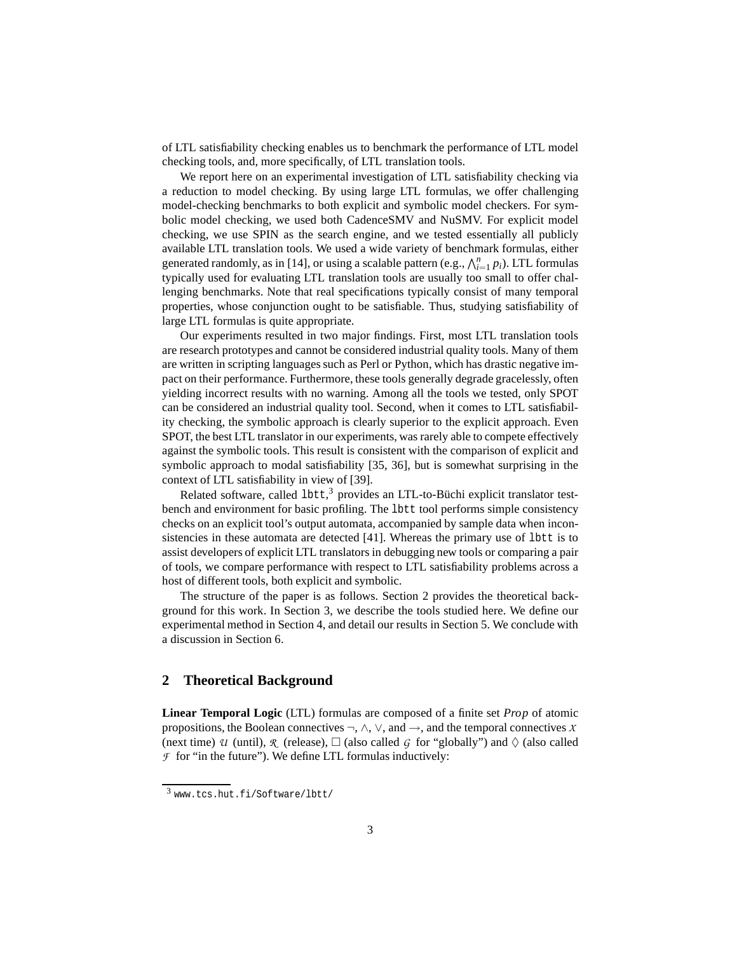of LTL satisfiability checking enables us to benchmark the performance of LTL model checking tools, and, more specifically, of LTL translation tools.

We report here on an experimental investigation of LTL satisfiability checking via a reduction to model checking. By using large LTL formulas, we offer challenging model-checking benchmarks to both explicit and symbolic model checkers. For symbolic model checking, we used both CadenceSMV and NuSMV. For explicit model checking, we use SPIN as the search engine, and we tested essentially all publicly available LTL translation tools. We used a wide variety of benchmark formulas, either generated randomly, as in [14], or using a scalable pattern (e.g.,  $\bigwedge_{i=1}^{n} p_i$ ). LTL formulas typically used for evaluating LTL translation tools are usually too small to offer challenging benchmarks. Note that real specifications typically consist of many temporal properties, whose conjunction ought to be satisfiable. Thus, studying satisfiability of large LTL formulas is quite appropriate.

Our experiments resulted in two major findings. First, most LTL translation tools are research prototypes and cannot be considered industrial quality tools. Many of them are written in scripting languages such as Perl or Python, which has drastic negative impact on their performance. Furthermore, these tools generally degrade gracelessly, often yielding incorrect results with no warning. Among all the tools we tested, only SPOT can be considered an industrial quality tool. Second, when it comes to LTL satisfiability checking, the symbolic approach is clearly superior to the explicit approach. Even SPOT, the best LTL translator in our experiments, was rarely able to compete effectively against the symbolic tools. This result is consistent with the comparison of explicit and symbolic approach to modal satisfiability [35, 36], but is somewhat surprising in the context of LTL satisfiability in view of [39].

Related software, called 1btt,<sup>3</sup> provides an LTL-to-Büchi explicit translator testbench and environment for basic profiling. The lbtt tool performs simple consistency checks on an explicit tool's output automata, accompanied by sample data when inconsistencies in these automata are detected [41]. Whereas the primary use of lbtt is to assist developers of explicit LTL translators in debugging new tools or comparing a pair of tools, we compare performance with respect to LTL satisfiability problems across a host of different tools, both explicit and symbolic.

The structure of the paper is as follows. Section 2 provides the theoretical background for this work. In Section 3, we describe the tools studied here. We define our experimental method in Section 4, and detail our results in Section 5. We conclude with a discussion in Section 6.

## **2 Theoretical Background**

**Linear Temporal Logic** (LTL) formulas are composed of a finite set *Prop* of atomic propositions, the Boolean connectives  $\neg$ ,  $\wedge$ ,  $\vee$ , and  $\rightarrow$ , and the temporal connectives *X* (next time) *U* (until), *R* (release),  $\Box$  (also called *G* for "globally") and  $\Diamond$  (also called  $\mathcal F$  for "in the future"). We define LTL formulas inductively:

<sup>3</sup> www.tcs.hut.fi/Software/lbtt/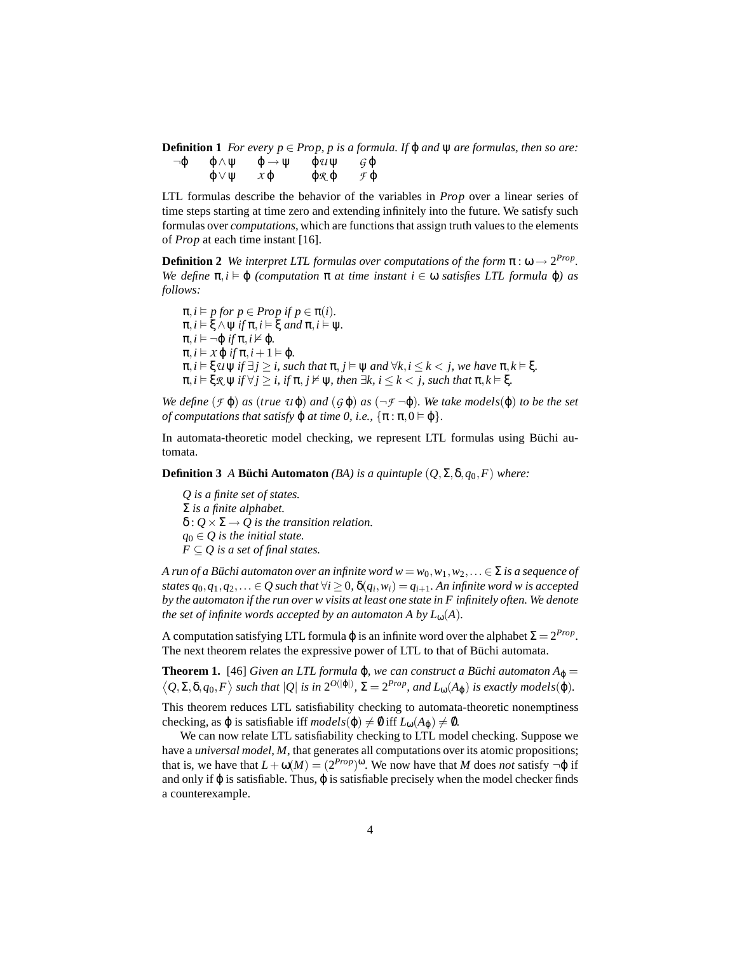**Definition 1** *For every*  $p \in Prop$ *, p is a formula. If*  $\varphi$  *and*  $\psi$  *are formulas, then so are:* 

| $\neg \phi$ | $\phi \wedge \psi$ | $\phi \rightarrow \psi$ | φμψ | $G \phi$              |
|-------------|--------------------|-------------------------|-----|-----------------------|
|             | $\phi \vee \psi$   | $X$ φ                   | φRφ | $\mathcal{F} \varphi$ |

LTL formulas describe the behavior of the variables in *Prop* over a linear series of time steps starting at time zero and extending infinitely into the future. We satisfy such formulas over *computations*, which are functions that assign truth values to the elements of *Prop* at each time instant [16].

**Definition 2** We interpret LTL formulas over computations of the form  $\pi$  :  $\omega \rightarrow 2^{Prop}$ . *We define*  $\pi, i \models \varphi$  *(computation*  $\pi$  *at time instant*  $i \in \varphi$  *satisfies LTL formula*  $\varphi$ *) as follows:*

 $\pi, i \models p$  for  $p \in Prop$  if  $p \in \pi(i)$ .  $\pi, i \models \xi \land \psi \text{ if } \pi, i \models \xi \text{ and } \pi, i \models \psi.$  $\pi, i \models \neg \varphi \text{ if } \pi, i \nvDash \varphi.$  $\pi, i \vDash X \varphi \text{ if } \pi, i + 1 \vDash \varphi.$  $\pi, i \models \xi$ *U*  $\psi$  *if*  $\exists j \geq i$ , such that  $\pi, j \models \psi$  and  $\forall k, i \leq k < j$ , we have  $\pi, k \models \xi$ .  $\pi, i \models \xi \mathcal{R} \ \Psi \ if \ \forall \ j \geq i, \ if \ \pi, j \not\models \Psi, \ then \ \exists k, \ i \leq k \leq j, \ such \ that \ \pi, k \models \xi.$ 

*We define*  $(f \varphi)$  *as* (*true*  $\mathcal{U}\varphi$ ) *and*  $(g \varphi)$  *as*  $(\neg f \neg \varphi)$ *. We take models* $(\varphi)$  *to be the set of computations that satisfy*  $\varphi$  *at time 0, i.e.,*  $\{\pi : \pi, 0 \models \varphi\}$ *.* 

In automata-theoretic model checking, we represent LTL formulas using Büchi automata.

**Definition 3** *A* **Büchi Automaton** *(BA) is a quintuple*  $(O, \Sigma, \delta, q_0, F)$  *where:* 

*Q is a finite set of states.* Σ *is a finite alphabet.*  $\delta: Q \times \Sigma \rightarrow Q$  is the transition relation.  $q_0 \in Q$  *is the initial state.*  $F \subseteq Q$  *is a set of final states.* 

*A run of a Büchi automaton over an infinite word*  $w = w_0, w_1, w_2, \ldots \in \Sigma$  *is a sequence of*  $s$ tates  $q_0, q_1, q_2, \ldots \in Q$  such that  $\forall i \geq 0$ ,  $\delta(q_i, w_i) = q_{i+1}.$  An infinite word w is accepted *by the automaton if the run over w visits at least one state in F infinitely often. We denote the set of infinite words accepted by an automaton A by*  $L_0(A)$ *.* 

A computation satisfying LTL formula  $\varphi$  is an infinite word over the alphabet  $\Sigma = 2^{Prop}$ . The next theorem relates the expressive power of LTL to that of Büchi automata.

**Theorem 1.** [46] *Given an LTL formula*  $\varphi$ *, we can construct a Büchi automaton*  $A_{\varphi} =$  $\langle Q, \Sigma, \delta, q_0, F \rangle$  such that  $|Q|$  *is in*  $2^{O(|\varphi|)}$ ,  $\Sigma = 2^{Prop}$ *, and*  $L_{\omega}(A_{\varphi})$  *is exactly models* $(\varphi)$ *.* 

This theorem reduces LTL satisfiability checking to automata-theoretic nonemptiness checking, as  $\varphi$  is satisfiable iff  $\text{models}(\varphi) \neq \emptyset$  iff  $L_{\omega}(A_{\varphi}) \neq \emptyset$ .

We can now relate LTL satisfiability checking to LTL model checking. Suppose we have a *universal model*, *M*, that generates all computations over its atomic propositions; that is, we have that  $L + \omega(M) = (2^{Prop})^{\omega}$ . We now have that *M* does *not* satisfy  $\neg \varphi$  if and only if  $\varphi$  is satisfiable. Thus,  $\varphi$  is satisfiable precisely when the model checker finds a counterexample.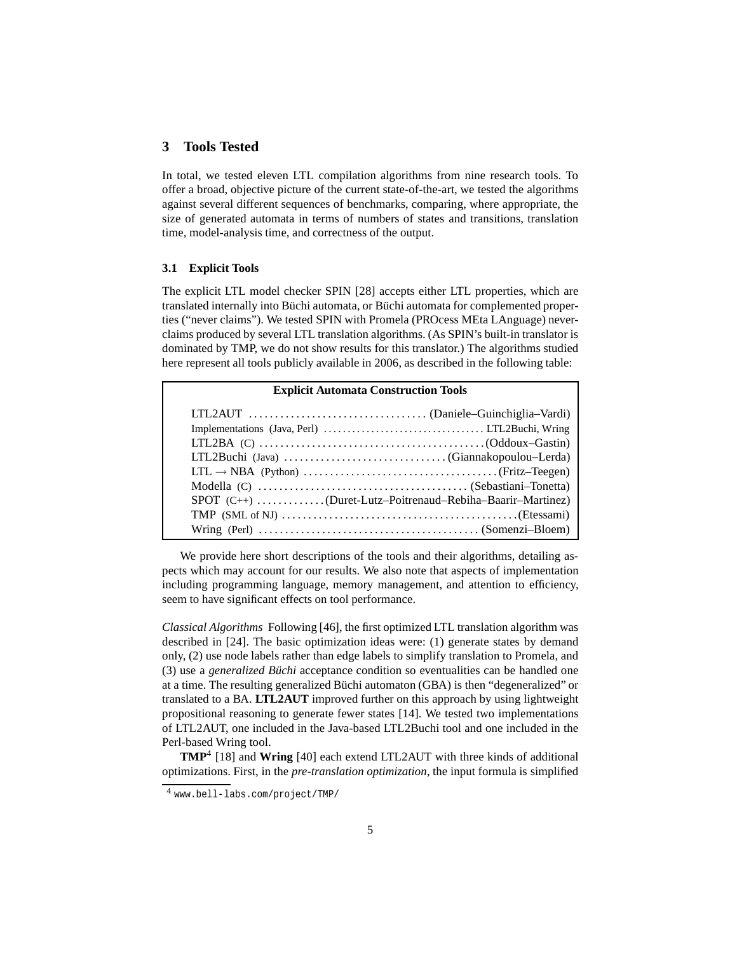## **3 Tools Tested**

In total, we tested eleven LTL compilation algorithms from nine research tools. To offer a broad, objective picture of the current state-of-the-art, we tested the algorithms against several different sequences of benchmarks, comparing, where appropriate, the size of generated automata in terms of numbers of states and transitions, translation time, model-analysis time, and correctness of the output.

### **3.1 Explicit Tools**

The explicit LTL model checker SPIN [28] accepts either LTL properties, which are translated internally into Büchi automata, or Büchi automata for complemented properties ("never claims"). We tested SPIN with Promela (PROcess MEta LAnguage) neverclaims produced by several LTL translation algorithms. (As SPIN's built-in translator is dominated by TMP, we do not show results for this translator.) The algorithms studied here represent all tools publicly available in 2006, as described in the following table:

### **Explicit Automata Construction Tools**

We provide here short descriptions of the tools and their algorithms, detailing aspects which may account for our results. We also note that aspects of implementation including programming language, memory management, and attention to efficiency, seem to have significant effects on tool performance.

*Classical Algorithms* Following [46], the first optimized LTL translation algorithm was described in [24]. The basic optimization ideas were: (1) generate states by demand only, (2) use node labels rather than edge labels to simplify translation to Promela, and (3) use a *generalized Buchi* acceptance condition so eventualities can be handled one at a time. The resulting generalized Büchi automaton (GBA) is then "degeneralized" or translated to a BA. **LTL2AUT** improved further on this approach by using lightweight propositional reasoning to generate fewer states [14]. We tested two implementations of LTL2AUT, one included in the Java-based LTL2Buchi tool and one included in the Perl-based Wring tool.

**TMP**<sup>4</sup> [18] and **Wring** [40] each extend LTL2AUT with three kinds of additional optimizations. First, in the *pre-translation optimization*, the input formula is simplified

<sup>4</sup> www.bell-labs.com/project/TMP/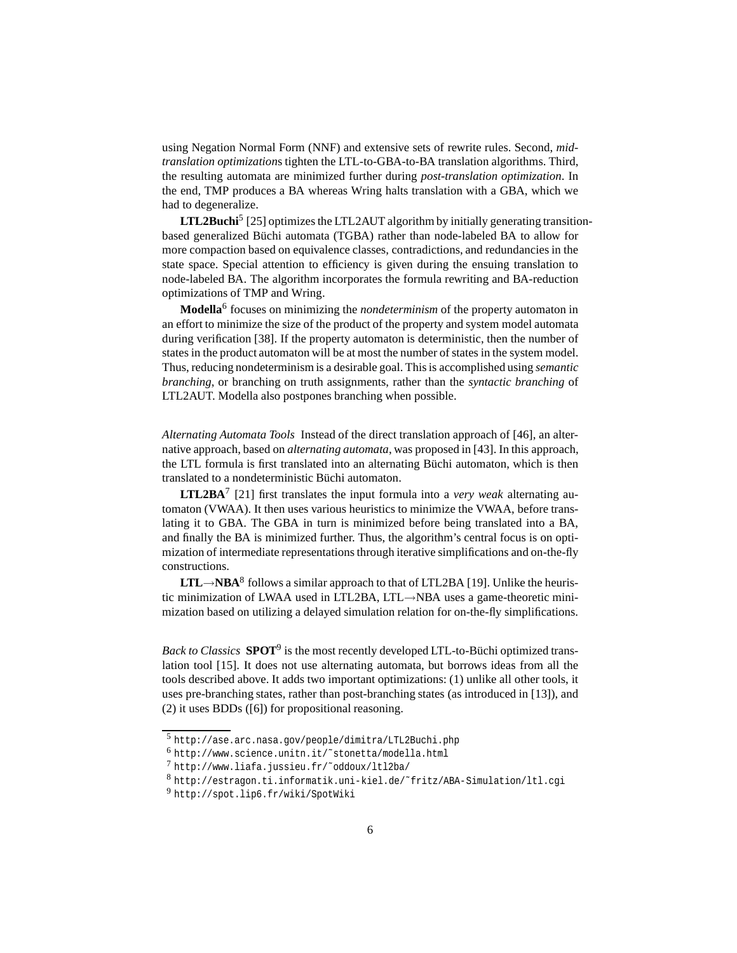using Negation Normal Form (NNF) and extensive sets of rewrite rules. Second, *midtranslation optimization*s tighten the LTL-to-GBA-to-BA translation algorithms. Third, the resulting automata are minimized further during *post-translation optimization*. In the end, TMP produces a BA whereas Wring halts translation with a GBA, which we had to degeneralize.

**LTL2Buchi**<sup>5</sup> [25] optimizes the LTL2AUT algorithm by initially generating transitionbased generalized Büchi automata (TGBA) rather than node-labeled BA to allow for more compaction based on equivalence classes, contradictions, and redundancies in the state space. Special attention to efficiency is given during the ensuing translation to node-labeled BA. The algorithm incorporates the formula rewriting and BA-reduction optimizations of TMP and Wring.

**Modella**<sup>6</sup> focuses on minimizing the *nondeterminism* of the property automaton in an effort to minimize the size of the product of the property and system model automata during verification [38]. If the property automaton is deterministic, then the number of states in the product automaton will be at most the number of states in the system model. Thus, reducing nondeterminism is a desirable goal. This is accomplished using *semantic branching*, or branching on truth assignments, rather than the *syntactic branching* of LTL2AUT. Modella also postpones branching when possible.

*Alternating Automata Tools* Instead of the direct translation approach of [46], an alternative approach, based on *alternating automata*, was proposed in [43]. In this approach, the LTL formula is first translated into an alternating Büchi automaton, which is then translated to a nondeterministic Büchi automaton.

**LTL2BA**<sup>7</sup> [21] first translates the input formula into a *very weak* alternating automaton (VWAA). It then uses various heuristics to minimize the VWAA, before translating it to GBA. The GBA in turn is minimized before being translated into a BA, and finally the BA is minimized further. Thus, the algorithm's central focus is on optimization of intermediate representations through iterative simplifications and on-the-fly constructions.

**LTL**→**NBA**<sup>8</sup> follows a similar approach to that of LTL2BA [19]. Unlike the heuristic minimization of LWAA used in LTL2BA, LTL→NBA uses a game-theoretic minimization based on utilizing a delayed simulation relation for on-the-fly simplifications.

Back to Classics **SPOT**<sup>9</sup> is the most recently developed LTL-to-Büchi optimized translation tool [15]. It does not use alternating automata, but borrows ideas from all the tools described above. It adds two important optimizations: (1) unlike all other tools, it uses pre-branching states, rather than post-branching states (as introduced in [13]), and (2) it uses BDDs ([6]) for propositional reasoning.

<sup>5</sup> http://ase.arc.nasa.gov/people/dimitra/LTL2Buchi.php

<sup>6</sup> http://www.science.unitn.it/˜stonetta/modella.html

<sup>7</sup> http://www.liafa.jussieu.fr/˜oddoux/ltl2ba/

 $^8$ http://estragon.ti.informatik.uni-kiel.de/~fritz/ABA-Simulation/ltl.cgi

<sup>9</sup> http://spot.lip6.fr/wiki/SpotWiki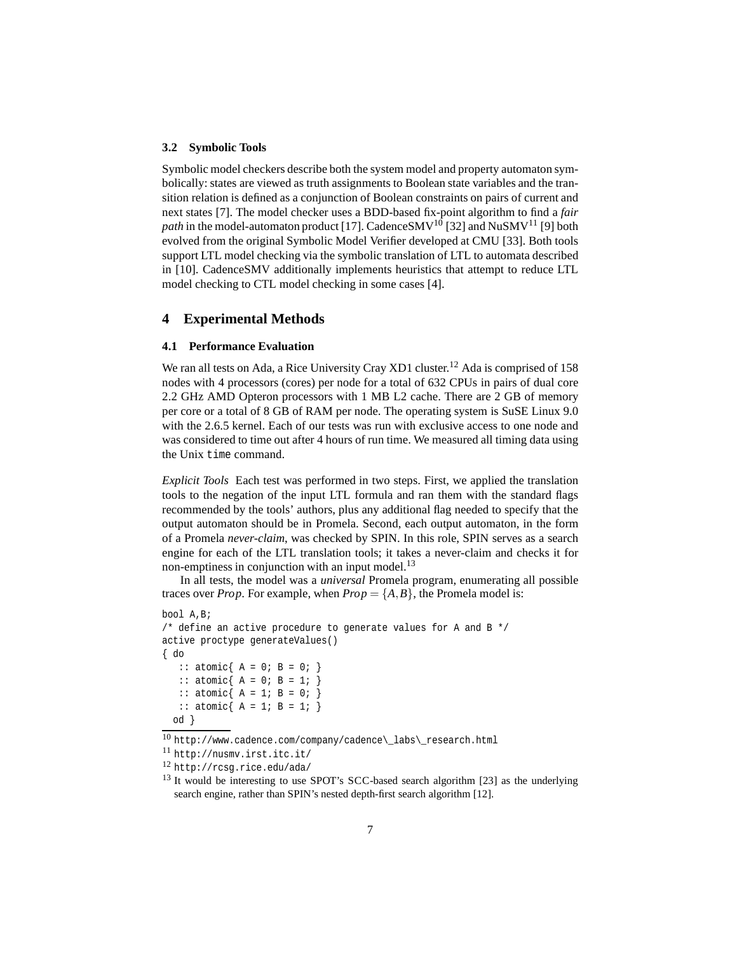#### **3.2 Symbolic Tools**

Symbolic model checkers describe both the system model and property automaton symbolically: states are viewed as truth assignments to Boolean state variables and the transition relation is defined as a conjunction of Boolean constraints on pairs of current and next states [7]. The model checker uses a BDD-based fix-point algorithm to find a *fair path* in the model-automaton product [17]. CadenceSMV<sup>10</sup> [32] and NuSMV<sup>11</sup> [9] both evolved from the original Symbolic Model Verifier developed at CMU [33]. Both tools support LTL model checking via the symbolic translation of LTL to automata described in [10]. CadenceSMV additionally implements heuristics that attempt to reduce LTL model checking to CTL model checking in some cases [4].

## **4 Experimental Methods**

#### **4.1 Performance Evaluation**

We ran all tests on Ada, a Rice University Cray XD1 cluster.<sup>12</sup> Ada is comprised of 158 nodes with 4 processors (cores) per node for a total of 632 CPUs in pairs of dual core 2.2 GHz AMD Opteron processors with 1 MB L2 cache. There are 2 GB of memory per core or a total of 8 GB of RAM per node. The operating system is SuSE Linux 9.0 with the 2.6.5 kernel. Each of our tests was run with exclusive access to one node and was considered to time out after 4 hours of run time. We measured all timing data using the Unix time command.

*Explicit Tools* Each test was performed in two steps. First, we applied the translation tools to the negation of the input LTL formula and ran them with the standard flags recommended by the tools' authors, plus any additional flag needed to specify that the output automaton should be in Promela. Second, each output automaton, in the form of a Promela *never-claim*, was checked by SPIN. In this role, SPIN serves as a search engine for each of the LTL translation tools; it takes a never-claim and checks it for non-emptiness in conjunction with an input model. $^{13}$ 

In all tests, the model was a *universal* Promela program, enumerating all possible traces over *Prop*. For example, when  $Prop = \{A, B\}$ , the Promela model is:

```
bool A,B;
/* define an active procedure to generate values for A and B */
active proctype generateValues()
{ do
   :: atomic{ A = 0; B = 0; }
   :: atomic{ A = 0; B = 1; }
   :: atomic{ A = 1; B = 0; }
   :: atomic{ A = 1; B = 1; }
 od }
```
 $^{10}$ http://www.cadence.com/company/cadence\\_labs\\_research.html

<sup>11</sup> http://nusmv.irst.itc.it/

<sup>12</sup> http://rcsg.rice.edu/ada/

<sup>&</sup>lt;sup>13</sup> It would be interesting to use SPOT's SCC-based search algorithm [23] as the underlying search engine, rather than SPIN's nested depth-first search algorithm [12].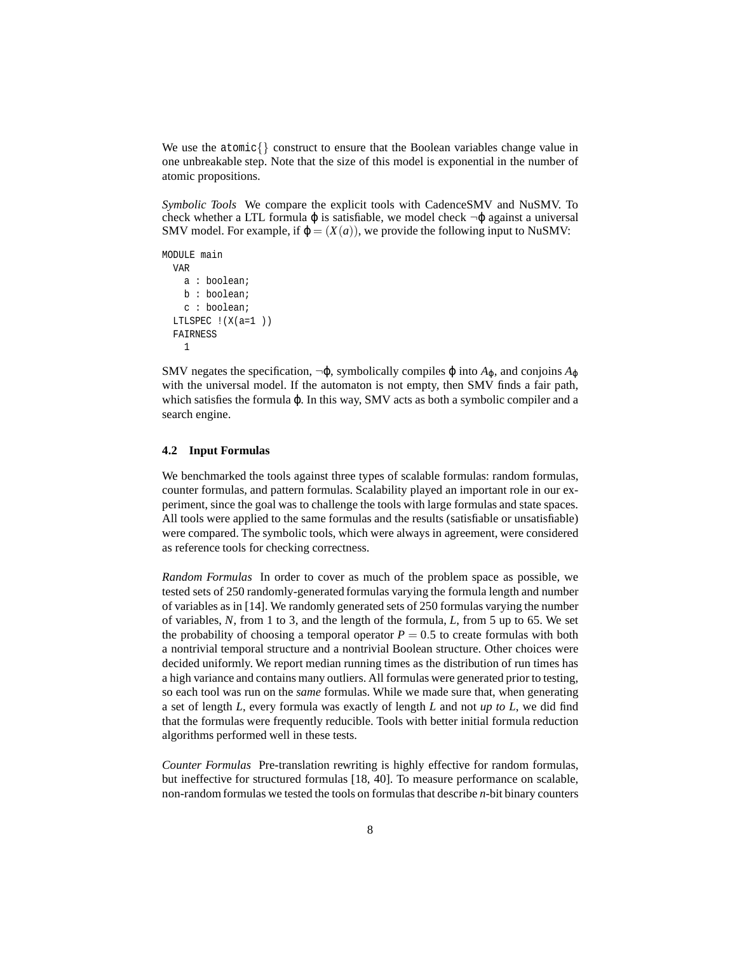We use the atomic $\{\}$  construct to ensure that the Boolean variables change value in one unbreakable step. Note that the size of this model is exponential in the number of atomic propositions.

*Symbolic Tools* We compare the explicit tools with CadenceSMV and NuSMV. To check whether a LTL formula  $\varphi$  is satisfiable, we model check  $\neg \varphi$  against a universal SMV model. For example, if  $\varphi = (X(a))$ , we provide the following input to NuSMV:

```
MODULE main
 VAR
   a : boolean;
   b : boolean;
   c : boolean;
 LTLSPEC |(X(a=1))FAIRNESS
   1
```
SMV negates the specification,  $\neg \varphi$ , symbolically compiles  $\varphi$  into  $A_{\varphi}$ , and conjoins  $A_{\varphi}$ with the universal model. If the automaton is not empty, then SMV finds a fair path, which satisfies the formula φ. In this way, SMV acts as both a symbolic compiler and a search engine.

## **4.2 Input Formulas**

We benchmarked the tools against three types of scalable formulas: random formulas, counter formulas, and pattern formulas. Scalability played an important role in our experiment, since the goal was to challenge the tools with large formulas and state spaces. All tools were applied to the same formulas and the results (satisfiable or unsatisfiable) were compared. The symbolic tools, which were always in agreement, were considered as reference tools for checking correctness.

*Random Formulas* In order to cover as much of the problem space as possible, we tested sets of 250 randomly-generated formulas varying the formula length and number of variables as in [14]. We randomly generated sets of 250 formulas varying the number of variables, *N*, from 1 to 3, and the length of the formula, *L*, from 5 up to 65. We set the probability of choosing a temporal operator  $P = 0.5$  to create formulas with both a nontrivial temporal structure and a nontrivial Boolean structure. Other choices were decided uniformly. We report median running times as the distribution of run times has a high variance and contains many outliers. All formulas were generated prior to testing, so each tool was run on the *same* formulas. While we made sure that, when generating a set of length *L*, every formula was exactly of length *L* and not *up to L*, we did find that the formulas were frequently reducible. Tools with better initial formula reduction algorithms performed well in these tests.

*Counter Formulas* Pre-translation rewriting is highly effective for random formulas, but ineffective for structured formulas [18, 40]. To measure performance on scalable, non-random formulas we tested the tools on formulas that describe *n*-bit binary counters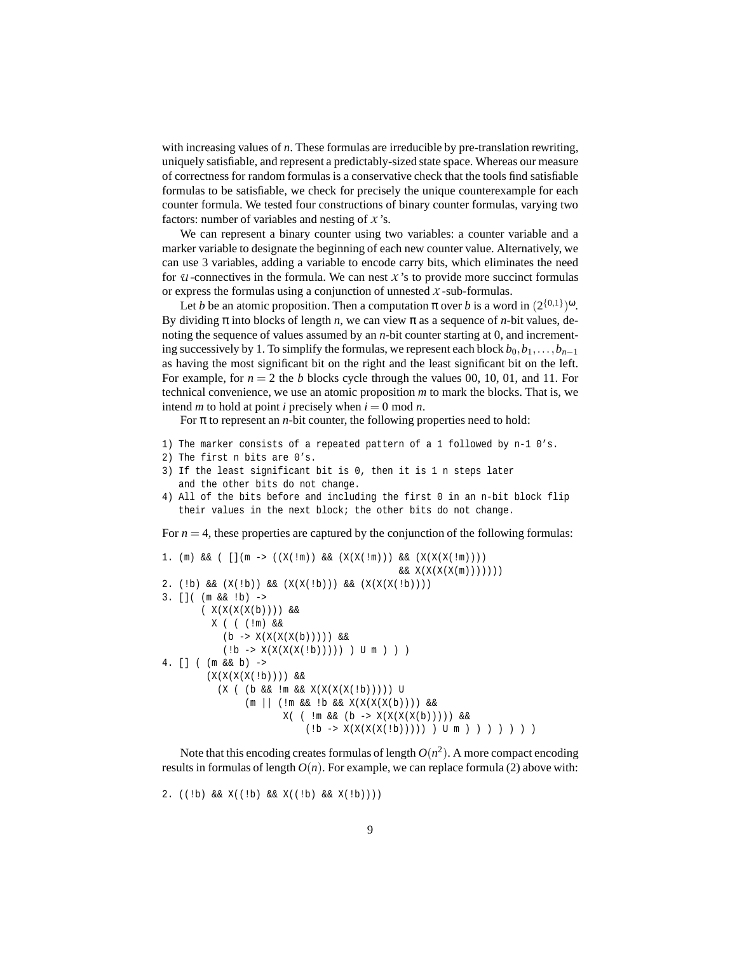with increasing values of *n*. These formulas are irreducible by pre-translation rewriting, uniquely satisfiable, and represent a predictably-sized state space. Whereas our measure of correctness for random formulas is a conservative check that the tools find satisfiable formulas to be satisfiable, we check for precisely the unique counterexample for each counter formula. We tested four constructions of binary counter formulas, varying two factors: number of variables and nesting of *X* 's.

We can represent a binary counter using two variables: a counter variable and a marker variable to designate the beginning of each new counter value. Alternatively, we can use 3 variables, adding a variable to encode carry bits, which eliminates the need for  $U$ -connectives in the formula. We can nest  $X$ 's to provide more succinct formulas or express the formulas using a conjunction of unnested *X* -sub-formulas.

Let *b* be an atomic proposition. Then a computation  $\pi$  over *b* is a word in  $(2^{\{0,1\}})^\omega$ . By dividing π into blocks of length *n*, we can view π as a sequence of *n*-bit values, denoting the sequence of values assumed by an *n*-bit counter starting at 0, and incrementing successively by 1. To simplify the formulas, we represent each block  $b_0, b_1, \ldots, b_{n-1}$ as having the most significant bit on the right and the least significant bit on the left. For example, for  $n = 2$  the *b* blocks cycle through the values 00, 10, 01, and 11. For technical convenience, we use an atomic proposition *m* to mark the blocks. That is, we intend *m* to hold at point *i* precisely when  $i = 0$  mod *n*.

For  $\pi$  to represent an *n*-bit counter, the following properties need to hold:

- 1) The marker consists of a repeated pattern of a 1 followed by n-1 0's.
- 2) The first n bits are 0's.
- 3) If the least significant bit is 0, then it is 1 n steps later and the other bits do not change.
- 4) All of the bits before and including the first 0 in an n-bit block flip their values in the next block; the other bits do not change.

For  $n = 4$ , these properties are captured by the conjunction of the following formulas:

```
1. (m) & ( [ ] (m \rightarrow (X(Im)) \& (X(X(Im)))) \& (X(X(Im))))&& X(X(X(X(m)))))))
2. (!b) && (X(!b)) && (X(X(!b))) && (X(X(X(!b))))
3. []( (m && !b) ->
       ( X(X(X(X(b)))) &&
         X ( ( (!m) &&
            (b -> X(X(X(X(b))))) &&
           (l.b \rightarrow X(X(X(X(l.b)))))) ) U m ) )
4. [] ( (m && b) ->
        (X(X(X(X(!b)))) &&
          (X ( (b && !m && X(X(X(X(!b))))) U
                (m || (!m && !b && X(X(X(X(b)))) &&
                       X( ( !m && (b -> X(X(X(X(b))))) &&
                            (l.b \rightarrow X(X(X(X(l.b))))) ) ) U m ) ) ) ) ) )
```
Note that this encoding creates formulas of length  $O(n^2)$ . A more compact encoding results in formulas of length  $O(n)$ . For example, we can replace formula (2) above with:

2. ((!b) && X((!b) && X((!b) && X(!b))))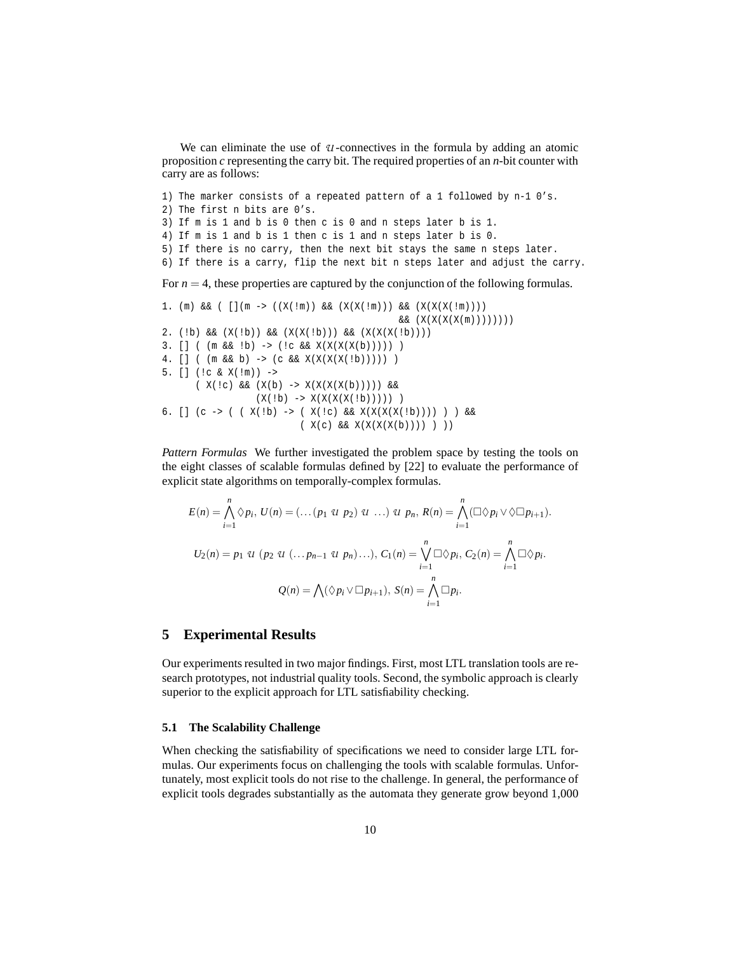We can eliminate the use of  $U$ -connectives in the formula by adding an atomic proposition *c* representing the carry bit. The required properties of an *n*-bit counter with carry are as follows:

1) The marker consists of a repeated pattern of a 1 followed by n-1 0's. 2) The first n bits are 0's. 3) If m is 1 and b is 0 then c is 0 and n steps later b is 1. 4) If m is 1 and b is 1 then c is 1 and n steps later b is 0. 5) If there is no carry, then the next bit stays the same n steps later. 6) If there is a carry, flip the next bit n steps later and adjust the carry.

For  $n = 4$ , these properties are captured by the conjunction of the following formulas.

1. (m) & (  $[ ] (m \rightarrow (X(!m)) \& (X(X(!m))) \& (X(X(!m))))$ && (X(X(X(X(m)))))))) 2. (!b) && (X(!b)) && (X(X(!b))) && (X(X(X(!b)))) 3. [] (  $(m \&c \& b)$  -> (!c & x(X(X(X(b))))) ) 4. [] (  $(m \&b)$  -> (c && X(X(X(X(!b)))))) 5. [] (!c & X(!m)) -> ( X(!c) && (X(b) -> X(X(X(X(b))))) &&  $(X(!b) \rightarrow X(X(X(X(!b)))))$ 6. [] (c -> ( (  $X(1b)$  -> (  $X(1c)$  &  $X(X(X(X(1b))))$  ) ) & & ( X(c) && X(X(X(X(b)))) ) ))

*Pattern Formulas* We further investigated the problem space by testing the tools on the eight classes of scalable formulas defined by [22] to evaluate the performance of explicit state algorithms on temporally-complex formulas.

$$
E(n) = \bigwedge_{i=1}^{n} \Diamond p_i, U(n) = (\dots (p_1 \vee p_2) \vee \dots) \vee (p_n, R(n)) = \bigwedge_{i=1}^{n} (\Box \Diamond p_i \vee \Diamond \Box p_{i+1}).
$$
  

$$
U_2(n) = p_1 \vee (p_2 \vee (1 \dots p_{n-1} \vee p_n) \dots), C_1(n) = \bigvee_{i=1}^{n} \Box \Diamond p_i, C_2(n) = \bigwedge_{i=1}^{n} \Box \Diamond p_i.
$$
  

$$
Q(n) = \bigwedge (\Diamond p_i \vee \Box p_{i+1}), S(n) = \bigwedge_{i=1}^{n} \Box p_i.
$$

## **5 Experimental Results**

Our experiments resulted in two major findings. First, most LTL translation tools are research prototypes, not industrial quality tools. Second, the symbolic approach is clearly superior to the explicit approach for LTL satisfiability checking.

### **5.1 The Scalability Challenge**

When checking the satisfiability of specifications we need to consider large LTL formulas. Our experiments focus on challenging the tools with scalable formulas. Unfortunately, most explicit tools do not rise to the challenge. In general, the performance of explicit tools degrades substantially as the automata they generate grow beyond 1,000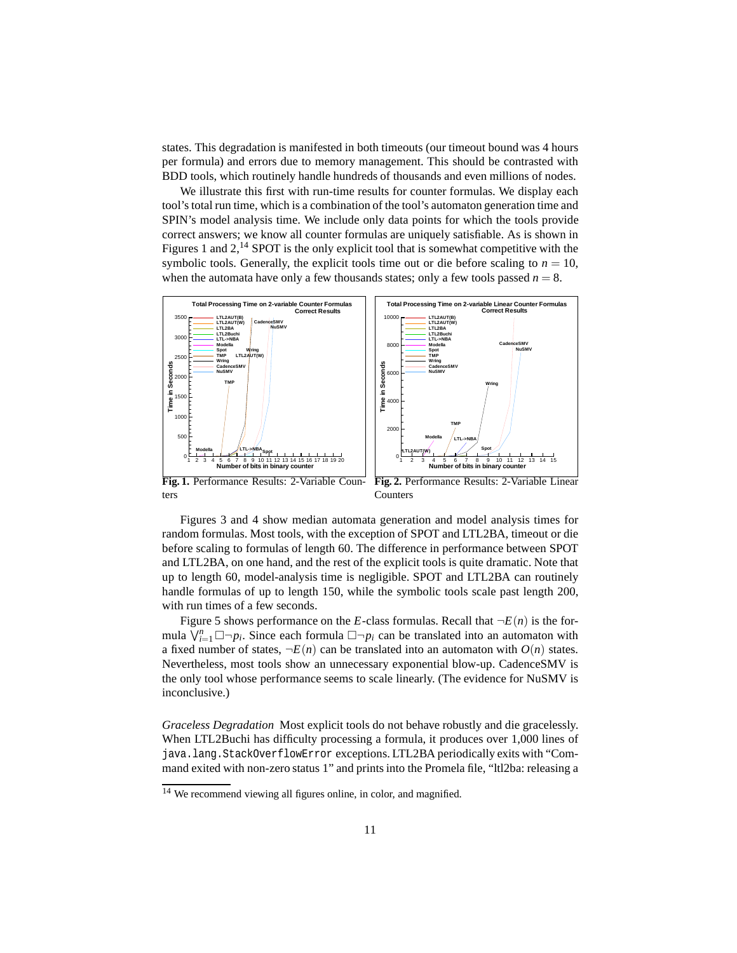states. This degradation is manifested in both timeouts (our timeout bound was 4 hours per formula) and errors due to memory management. This should be contrasted with BDD tools, which routinely handle hundreds of thousands and even millions of nodes.

We illustrate this first with run-time results for counter formulas. We display each tool's total run time, which is a combination of the tool's automaton generation time and SPIN's model analysis time. We include only data points for which the tools provide correct answers; we know all counter formulas are uniquely satisfiable. As is shown in Figures 1 and  $2<sup>14</sup>$ , SPOT is the only explicit tool that is somewhat competitive with the symbolic tools. Generally, the explicit tools time out or die before scaling to  $n = 10$ , when the automata have only a few thousands states; only a few tools passed  $n = 8$ .



**Fig. 1.** Performance Results: 2-Variable Counters **Fig. 2.** Performance Results: 2-Variable Linear Counters

Figures 3 and 4 show median automata generation and model analysis times for random formulas. Most tools, with the exception of SPOT and LTL2BA, timeout or die before scaling to formulas of length 60. The difference in performance between SPOT and LTL2BA, on one hand, and the rest of the explicit tools is quite dramatic. Note that up to length 60, model-analysis time is negligible. SPOT and LTL2BA can routinely handle formulas of up to length 150, while the symbolic tools scale past length 200, with run times of a few seconds.

Figure 5 shows performance on the *E*-class formulas. Recall that  $\neg E(n)$  is the formula  $\bigvee_{i=1}^{n} \Box \neg p_i$ . Since each formula  $\Box \neg p_i$  can be translated into an automaton with a fixed number of states,  $\neg E(n)$  can be translated into an automaton with  $O(n)$  states. Nevertheless, most tools show an unnecessary exponential blow-up. CadenceSMV is the only tool whose performance seems to scale linearly. (The evidence for NuSMV is inconclusive.)

*Graceless Degradation* Most explicit tools do not behave robustly and die gracelessly. When LTL2Buchi has difficulty processing a formula, it produces over 1,000 lines of java.lang.StackOverflowError exceptions. LTL2BA periodically exits with "Command exited with non-zero status 1" and prints into the Promela file, "ltl2ba: releasing a

<sup>&</sup>lt;sup>14</sup> We recommend viewing all figures online, in color, and magnified.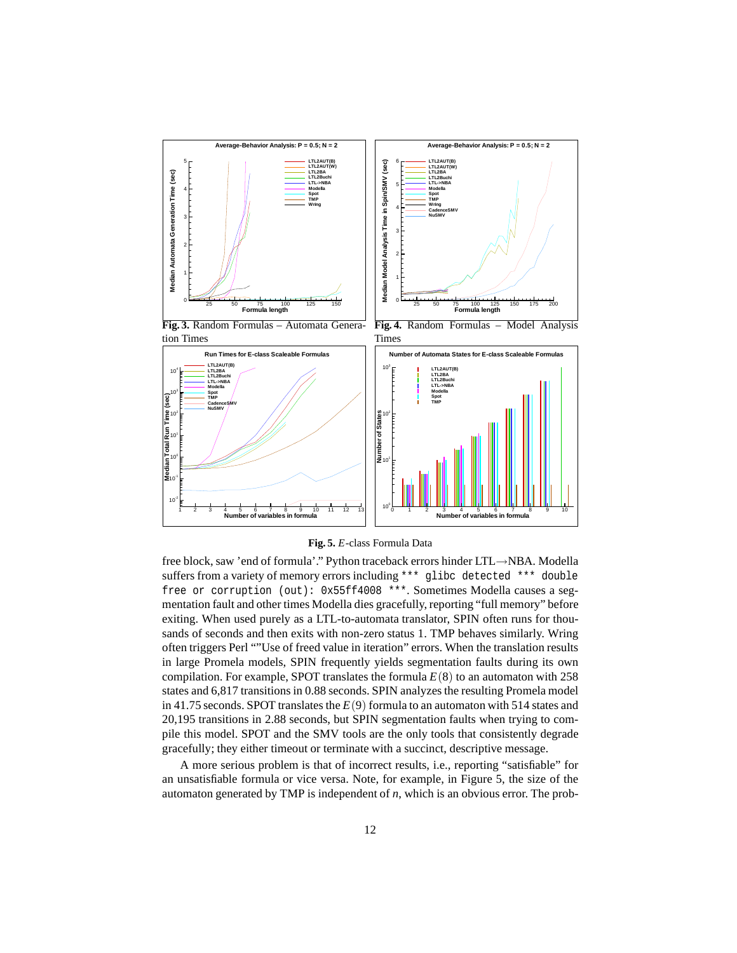

**Fig. 5.** *E*-class Formula Data

free block, saw 'end of formula'." Python traceback errors hinder LTL→NBA. Modella suffers from a variety of memory errors including \*\*\* glibc detected \*\*\* double free or corruption (out): 0x55ff4008 \*\*\*. Sometimes Modella causes a segmentation fault and other times Modella dies gracefully, reporting "full memory" before exiting. When used purely as a LTL-to-automata translator, SPIN often runs for thousands of seconds and then exits with non-zero status 1. TMP behaves similarly. Wring often triggers Perl ""Use of freed value in iteration" errors. When the translation results in large Promela models, SPIN frequently yields segmentation faults during its own compilation. For example, SPOT translates the formula  $E(8)$  to an automaton with 258 states and 6,817 transitions in 0.88 seconds. SPIN analyzes the resulting Promela model in 41.75 seconds. SPOT translates the *E*(9) formula to an automaton with 514 states and 20,195 transitions in 2.88 seconds, but SPIN segmentation faults when trying to compile this model. SPOT and the SMV tools are the only tools that consistently degrade gracefully; they either timeout or terminate with a succinct, descriptive message.

A more serious problem is that of incorrect results, i.e., reporting "satisfiable" for an unsatisfiable formula or vice versa. Note, for example, in Figure 5, the size of the automaton generated by TMP is independent of *n*, which is an obvious error. The prob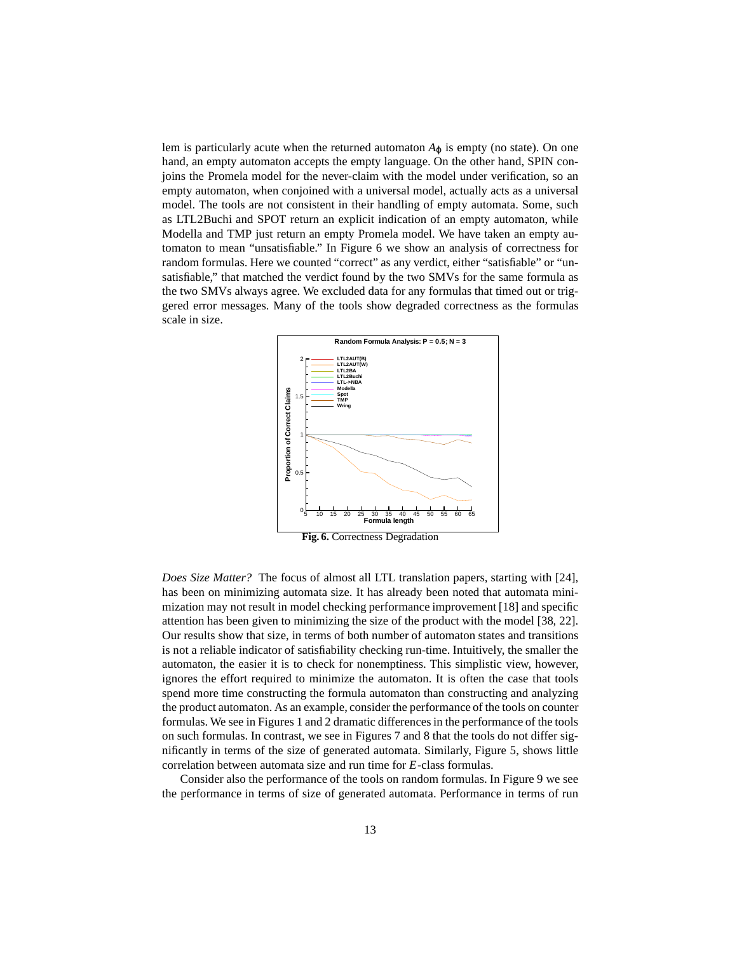lem is particularly acute when the returned automaton  $A_{\varphi}$  is empty (no state). On one hand, an empty automaton accepts the empty language. On the other hand, SPIN conjoins the Promela model for the never-claim with the model under verification, so an empty automaton, when conjoined with a universal model, actually acts as a universal model. The tools are not consistent in their handling of empty automata. Some, such as LTL2Buchi and SPOT return an explicit indication of an empty automaton, while Modella and TMP just return an empty Promela model. We have taken an empty automaton to mean "unsatisfiable." In Figure 6 we show an analysis of correctness for random formulas. Here we counted "correct" as any verdict, either "satisfiable" or "unsatisfiable," that matched the verdict found by the two SMVs for the same formula as the two SMVs always agree. We excluded data for any formulas that timed out or triggered error messages. Many of the tools show degraded correctness as the formulas scale in size.



**Fig. 6.** Correctness Degradation

*Does Size Matter?* The focus of almost all LTL translation papers, starting with [24], has been on minimizing automata size. It has already been noted that automata minimization may not result in model checking performance improvement [18] and specific attention has been given to minimizing the size of the product with the model [38, 22]. Our results show that size, in terms of both number of automaton states and transitions is not a reliable indicator of satisfiability checking run-time. Intuitively, the smaller the automaton, the easier it is to check for nonemptiness. This simplistic view, however, ignores the effort required to minimize the automaton. It is often the case that tools spend more time constructing the formula automaton than constructing and analyzing the product automaton. As an example, consider the performance of the tools on counter formulas. We see in Figures 1 and 2 dramatic differences in the performance of the tools on such formulas. In contrast, we see in Figures 7 and 8 that the tools do not differ significantly in terms of the size of generated automata. Similarly, Figure 5, shows little correlation between automata size and run time for *E*-class formulas.

Consider also the performance of the tools on random formulas. In Figure 9 we see the performance in terms of size of generated automata. Performance in terms of run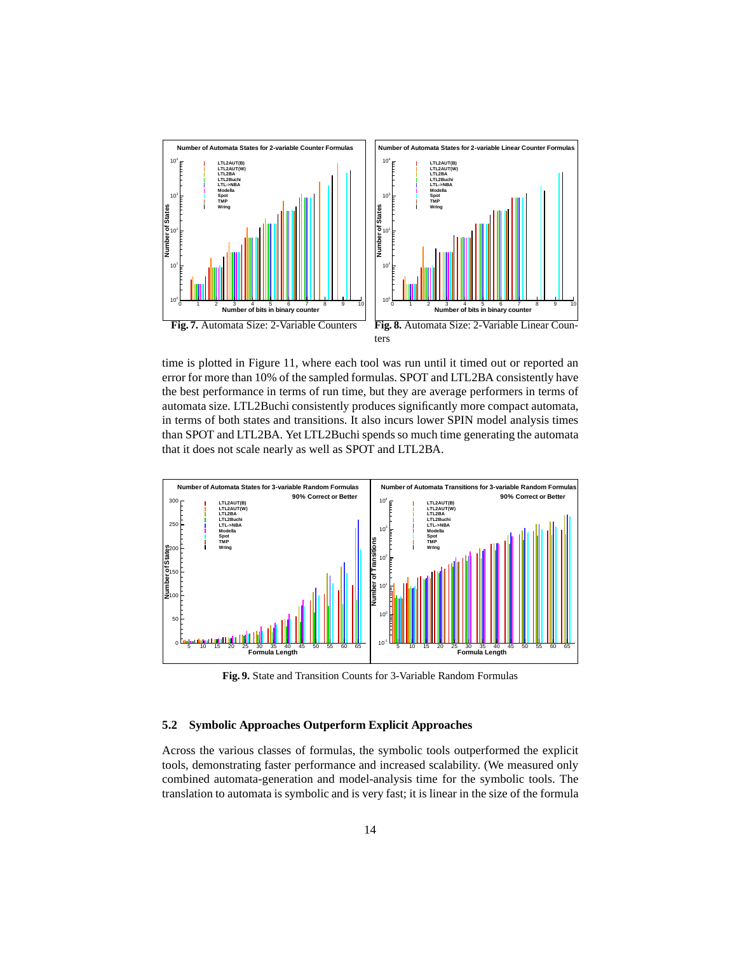

time is plotted in Figure 11, where each tool was run until it timed out or reported an error for more than 10% of the sampled formulas. SPOT and LTL2BA consistently have the best performance in terms of run time, but they are average performers in terms of automata size. LTL2Buchi consistently produces significantly more compact automata, in terms of both states and transitions. It also incurs lower SPIN model analysis times than SPOT and LTL2BA. Yet LTL2Buchi spends so much time generating the automata that it does not scale nearly as well as SPOT and LTL2BA.



**Fig. 9.** State and Transition Counts for 3-Variable Random Formulas

### **5.2 Symbolic Approaches Outperform Explicit Approaches**

Across the various classes of formulas, the symbolic tools outperformed the explicit tools, demonstrating faster performance and increased scalability. (We measured only combined automata-generation and model-analysis time for the symbolic tools. The translation to automata is symbolic and is very fast; it is linear in the size of the formula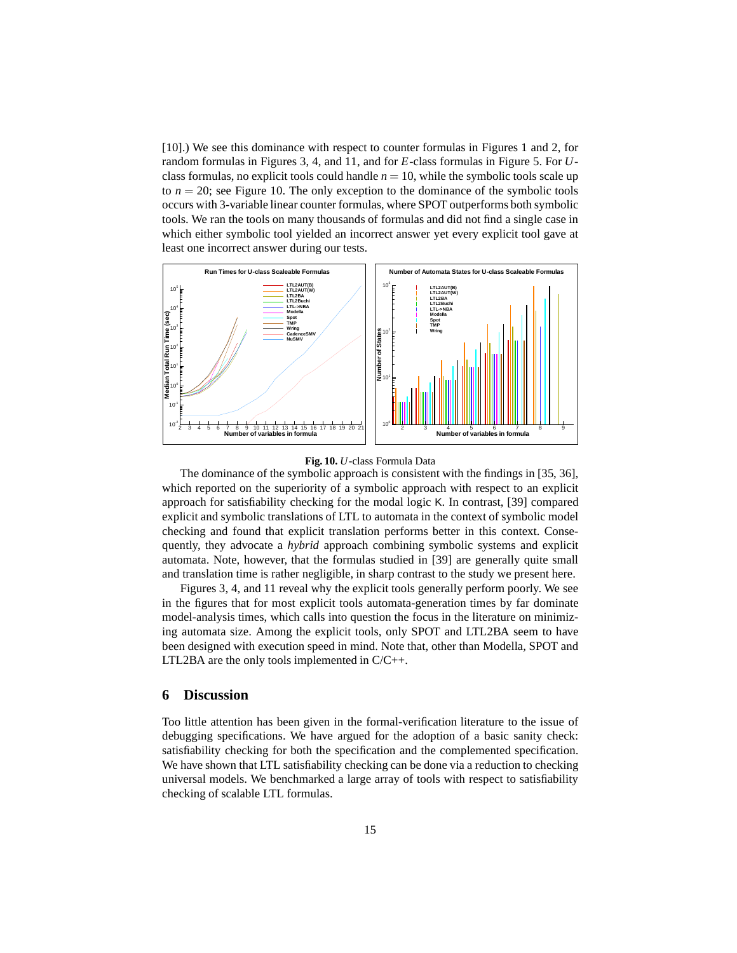[10].) We see this dominance with respect to counter formulas in Figures 1 and 2, for random formulas in Figures 3, 4, and 11, and for *E*-class formulas in Figure 5. For *U*class formulas, no explicit tools could handle  $n = 10$ , while the symbolic tools scale up to  $n = 20$ ; see Figure 10. The only exception to the dominance of the symbolic tools occurs with 3-variable linear counter formulas, where SPOT outperforms both symbolic tools. We ran the tools on many thousands of formulas and did not find a single case in which either symbolic tool yielded an incorrect answer yet every explicit tool gave at least one incorrect answer during our tests.



#### **Fig. 10.** *U*-class Formula Data

The dominance of the symbolic approach is consistent with the findings in [35, 36], which reported on the superiority of a symbolic approach with respect to an explicit approach for satisfiability checking for the modal logic K. In contrast, [39] compared explicit and symbolic translations of LTL to automata in the context of symbolic model checking and found that explicit translation performs better in this context. Consequently, they advocate a *hybrid* approach combining symbolic systems and explicit automata. Note, however, that the formulas studied in [39] are generally quite small and translation time is rather negligible, in sharp contrast to the study we present here.

Figures 3, 4, and 11 reveal why the explicit tools generally perform poorly. We see in the figures that for most explicit tools automata-generation times by far dominate model-analysis times, which calls into question the focus in the literature on minimizing automata size. Among the explicit tools, only SPOT and LTL2BA seem to have been designed with execution speed in mind. Note that, other than Modella, SPOT and LTL2BA are the only tools implemented in C/C++.

## **6 Discussion**

Too little attention has been given in the formal-verification literature to the issue of debugging specifications. We have argued for the adoption of a basic sanity check: satisfiability checking for both the specification and the complemented specification. We have shown that LTL satisfiability checking can be done via a reduction to checking universal models. We benchmarked a large array of tools with respect to satisfiability checking of scalable LTL formulas.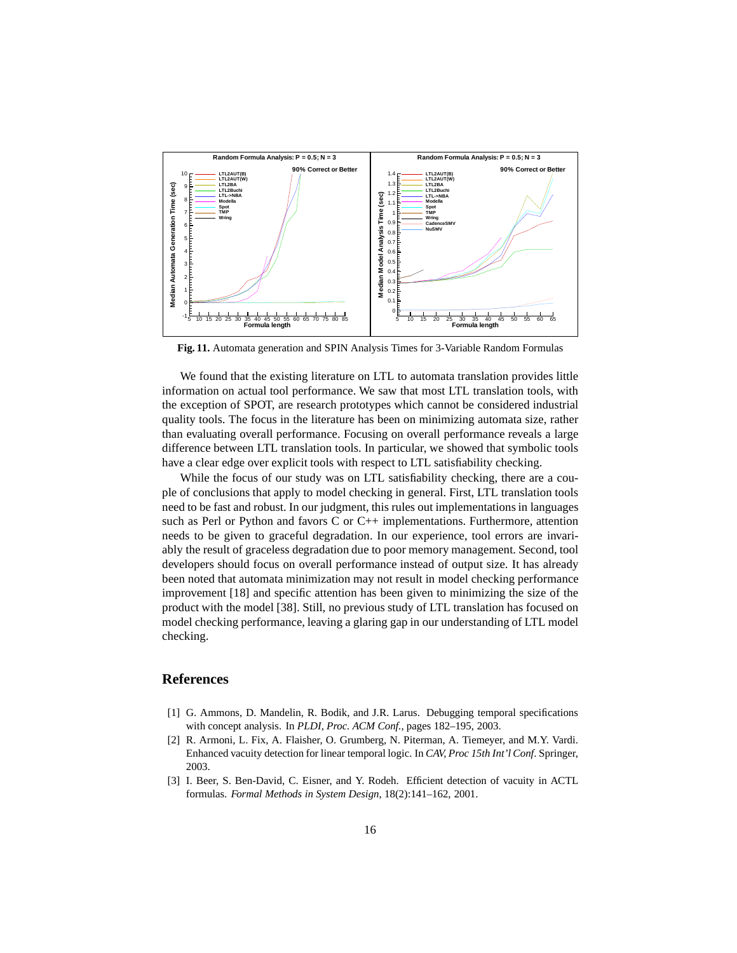

**Fig. 11.** Automata generation and SPIN Analysis Times for 3-Variable Random Formulas

We found that the existing literature on LTL to automata translation provides little information on actual tool performance. We saw that most LTL translation tools, with the exception of SPOT, are research prototypes which cannot be considered industrial quality tools. The focus in the literature has been on minimizing automata size, rather than evaluating overall performance. Focusing on overall performance reveals a large difference between LTL translation tools. In particular, we showed that symbolic tools have a clear edge over explicit tools with respect to LTL satisfiability checking.

While the focus of our study was on LTL satisfiability checking, there are a couple of conclusions that apply to model checking in general. First, LTL translation tools need to be fast and robust. In our judgment, this rules out implementations in languages such as Perl or Python and favors C or C++ implementations. Furthermore, attention needs to be given to graceful degradation. In our experience, tool errors are invariably the result of graceless degradation due to poor memory management. Second, tool developers should focus on overall performance instead of output size. It has already been noted that automata minimization may not result in model checking performance improvement [18] and specific attention has been given to minimizing the size of the product with the model [38]. Still, no previous study of LTL translation has focused on model checking performance, leaving a glaring gap in our understanding of LTL model checking.

## **References**

- [1] G. Ammons, D. Mandelin, R. Bodik, and J.R. Larus. Debugging temporal specifications with concept analysis. In *PLDI, Proc. ACM Conf.*, pages 182–195, 2003.
- [2] R. Armoni, L. Fix, A. Flaisher, O. Grumberg, N. Piterman, A. Tiemeyer, and M.Y. Vardi. Enhanced vacuity detection for linear temporal logic. In *CAV, Proc 15th Int'l Conf*. Springer, 2003.
- [3] I. Beer, S. Ben-David, C. Eisner, and Y. Rodeh. Efficient detection of vacuity in ACTL formulas. *Formal Methods in System Design*, 18(2):141–162, 2001.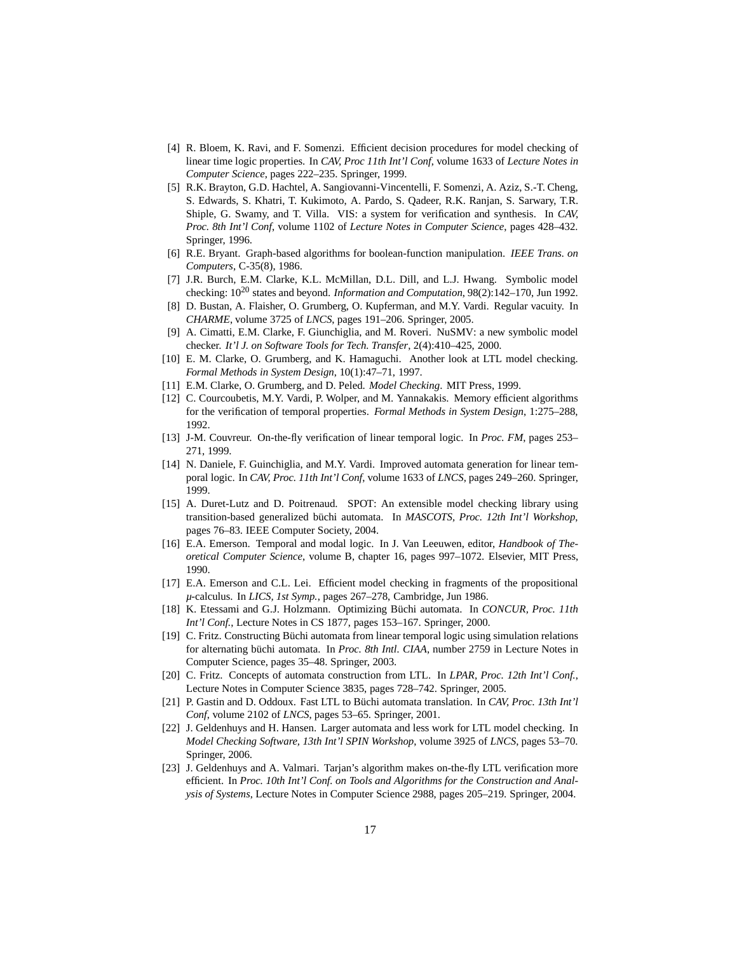- [4] R. Bloem, K. Ravi, and F. Somenzi. Efficient decision procedures for model checking of linear time logic properties. In *CAV, Proc 11th Int'l Conf*, volume 1633 of *Lecture Notes in Computer Science*, pages 222–235. Springer, 1999.
- [5] R.K. Brayton, G.D. Hachtel, A. Sangiovanni-Vincentelli, F. Somenzi, A. Aziz, S.-T. Cheng, S. Edwards, S. Khatri, T. Kukimoto, A. Pardo, S. Qadeer, R.K. Ranjan, S. Sarwary, T.R. Shiple, G. Swamy, and T. Villa. VIS: a system for verification and synthesis. In *CAV, Proc. 8th Int'l Conf*, volume 1102 of *Lecture Notes in Computer Science*, pages 428–432. Springer, 1996.
- [6] R.E. Bryant. Graph-based algorithms for boolean-function manipulation. *IEEE Trans. on Computers*, C-35(8), 1986.
- [7] J.R. Burch, E.M. Clarke, K.L. McMillan, D.L. Dill, and L.J. Hwang. Symbolic model checking: 10<sup>20</sup> states and beyond. *Information and Computation*, 98(2):142–170, Jun 1992.
- [8] D. Bustan, A. Flaisher, O. Grumberg, O. Kupferman, and M.Y. Vardi. Regular vacuity. In *CHARME*, volume 3725 of *LNCS*, pages 191–206. Springer, 2005.
- [9] A. Cimatti, E.M. Clarke, F. Giunchiglia, and M. Roveri. NuSMV: a new symbolic model checker. *It'l J. on Software Tools for Tech. Transfer*, 2(4):410–425, 2000.
- [10] E. M. Clarke, O. Grumberg, and K. Hamaguchi. Another look at LTL model checking. *Formal Methods in System Design*, 10(1):47–71, 1997.
- [11] E.M. Clarke, O. Grumberg, and D. Peled. *Model Checking*. MIT Press, 1999.
- [12] C. Courcoubetis, M.Y. Vardi, P. Wolper, and M. Yannakakis. Memory efficient algorithms for the verification of temporal properties. *Formal Methods in System Design*, 1:275–288, 1992.
- [13] J-M. Couvreur. On-the-fly verification of linear temporal logic. In *Proc. FM*, pages 253– 271, 1999.
- [14] N. Daniele, F. Guinchiglia, and M.Y. Vardi. Improved automata generation for linear temporal logic. In *CAV, Proc. 11th Int'l Conf*, volume 1633 of *LNCS*, pages 249–260. Springer, 1999.
- [15] A. Duret-Lutz and D. Poitrenaud. SPOT: An extensible model checking library using transition-based generalized büchi automata. In *MASCOTS, Proc. 12th Int'l Workshop*, pages 76–83. IEEE Computer Society, 2004.
- [16] E.A. Emerson. Temporal and modal logic. In J. Van Leeuwen, editor, *Handbook of Theoretical Computer Science*, volume B, chapter 16, pages 997–1072. Elsevier, MIT Press, 1990.
- [17] E.A. Emerson and C.L. Lei. Efficient model checking in fragments of the propositional *µ*-calculus. In *LICS, 1st Symp.*, pages 267–278, Cambridge, Jun 1986.
- [18] K. Etessami and G.J. Holzmann. Optimizing Büchi automata. In *CONCUR, Proc. 11th Int'l Conf.*, Lecture Notes in CS 1877, pages 153–167. Springer, 2000.
- [19] C. Fritz. Constructing Büchi automata from linear temporal logic using simulation relations for alternating büchi automata. In *Proc. 8th Intl. CIAA*, number 2759 in Lecture Notes in Computer Science, pages 35–48. Springer, 2003.
- [20] C. Fritz. Concepts of automata construction from LTL. In *LPAR, Proc. 12th Int'l Conf.*, Lecture Notes in Computer Science 3835, pages 728–742. Springer, 2005.
- [21] P. Gastin and D. Oddoux. Fast LTL to Büchi automata translation. In *CAV, Proc. 13th Int'l Conf*, volume 2102 of *LNCS*, pages 53–65. Springer, 2001.
- [22] J. Geldenhuys and H. Hansen. Larger automata and less work for LTL model checking. In *Model Checking Software, 13th Int'l SPIN Workshop*, volume 3925 of *LNCS*, pages 53–70. Springer, 2006.
- [23] J. Geldenhuys and A. Valmari. Tarjan's algorithm makes on-the-fly LTL verification more efficient. In *Proc. 10th Int'l Conf. on Tools and Algorithms for the Construction and Analysis of Systems*, Lecture Notes in Computer Science 2988, pages 205–219. Springer, 2004.